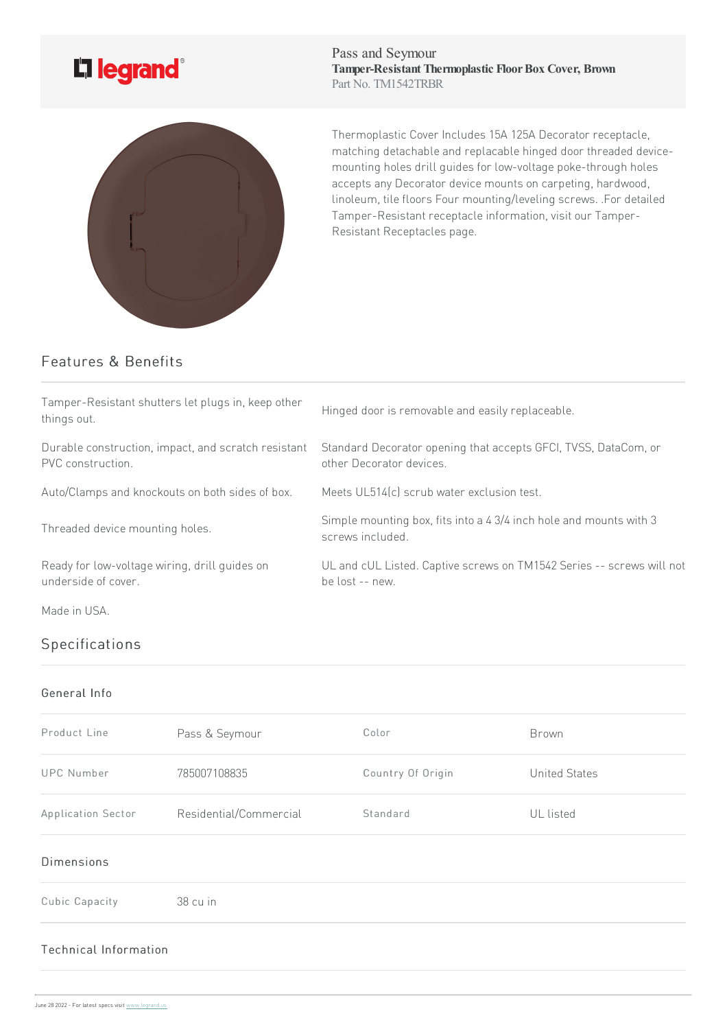# L'i legrand<sup>®</sup>

Pass and Seymour **Tamper-Resistant Thermoplastic FloorBox Cover, Brown** Part No. TM1542TRBR



Thermoplastic Cover Includes 15A125A Decorator receptacle, matching detachable and replacable hinged door threaded devicemounting holes drill guides for low-voltage poke-through holes accepts any Decorator device mounts on carpeting, hardwood, linoleum, tile floors Four mounting/leveling screws. .For detailed Tamper-Resistant receptacle information, visit our Tamper-Resistant Receptacles page.

## Features & Benefits

| Tamper-Resistant shutters let plugs in, keep other<br>things out.        | Hinged door is removable and easily replaceable.                                            |  |
|--------------------------------------------------------------------------|---------------------------------------------------------------------------------------------|--|
| Durable construction, impact, and scratch resistant<br>PVC construction. | Standard Decorator opening that accepts GFCI, TVSS, DataCom, or<br>other Decorator devices. |  |
| Auto/Clamps and knockouts on both sides of box.                          | Meets UL514(c) scrub water exclusion test.                                                  |  |
| Threaded device mounting holes.                                          | Simple mounting box, fits into a 4 3/4 inch hole and mounts with 3<br>screws included.      |  |
| Ready for low-voltage wiring, drill guides on<br>underside of cover.     | UL and cUL Listed. Captive screws on TM1542 Series -- screws will not<br>be lost -- new.    |  |
| Made in USA.                                                             |                                                                                             |  |

## Specifications

### General Info

| Product Line       | Pass & Seymour         | Color             | Brown                |
|--------------------|------------------------|-------------------|----------------------|
| <b>UPC Number</b>  | 785007108835           | Country Of Origin | <b>United States</b> |
| Application Sector | Residential/Commercial | Standard          | UL listed            |

#### Dimensions

Cubic Capacity 38 cu in

#### Technical Information